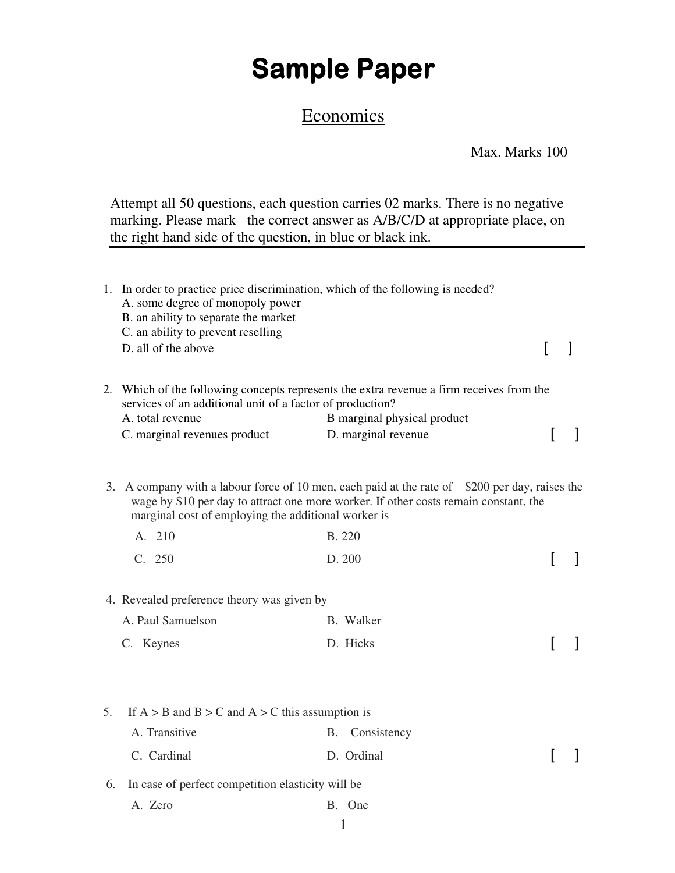## **Sample Paper**

## **Economics**

Max. Marks 100

Attempt all 50 questions, each question carries 02 marks. There is no negative marking. Please mark the correct answer as A/B/C/D at appropriate place, on the right hand side of the question, in blue or black ink.

|    | A. some degree of monopoly power<br>B. an ability to separate the market<br>C. an ability to prevent reselling | 1. In order to practice price discrimination, which of the following is needed?                                                                                                        |          |  |
|----|----------------------------------------------------------------------------------------------------------------|----------------------------------------------------------------------------------------------------------------------------------------------------------------------------------------|----------|--|
|    | D. all of the above                                                                                            |                                                                                                                                                                                        | $\Gamma$ |  |
|    | services of an additional unit of a factor of production?                                                      | 2. Which of the following concepts represents the extra revenue a firm receives from the                                                                                               |          |  |
|    | A. total revenue<br>C. marginal revenues product                                                               | B marginal physical product<br>D. marginal revenue                                                                                                                                     |          |  |
|    | marginal cost of employing the additional worker is                                                            | 3. A company with a labour force of 10 men, each paid at the rate of \$200 per day, raises the<br>wage by \$10 per day to attract one more worker. If other costs remain constant, the |          |  |
|    | A. 210                                                                                                         | <b>B.</b> 220                                                                                                                                                                          |          |  |
|    | C. 250                                                                                                         | D. 200                                                                                                                                                                                 |          |  |
|    | 4. Revealed preference theory was given by                                                                     |                                                                                                                                                                                        |          |  |
|    | A. Paul Samuelson                                                                                              | B. Walker                                                                                                                                                                              |          |  |
|    | C. Keynes                                                                                                      | D. Hicks                                                                                                                                                                               |          |  |
|    |                                                                                                                |                                                                                                                                                                                        |          |  |
| 5. | If $A > B$ and $B > C$ and $A > C$ this assumption is                                                          |                                                                                                                                                                                        |          |  |
|    | A. Transitive                                                                                                  | Consistency<br>B.                                                                                                                                                                      |          |  |
|    | C. Cardinal                                                                                                    | D. Ordinal                                                                                                                                                                             |          |  |
| 6. | In case of perfect competition elasticity will be                                                              |                                                                                                                                                                                        |          |  |
|    | A. Zero                                                                                                        | B. One                                                                                                                                                                                 |          |  |
|    |                                                                                                                | 1                                                                                                                                                                                      |          |  |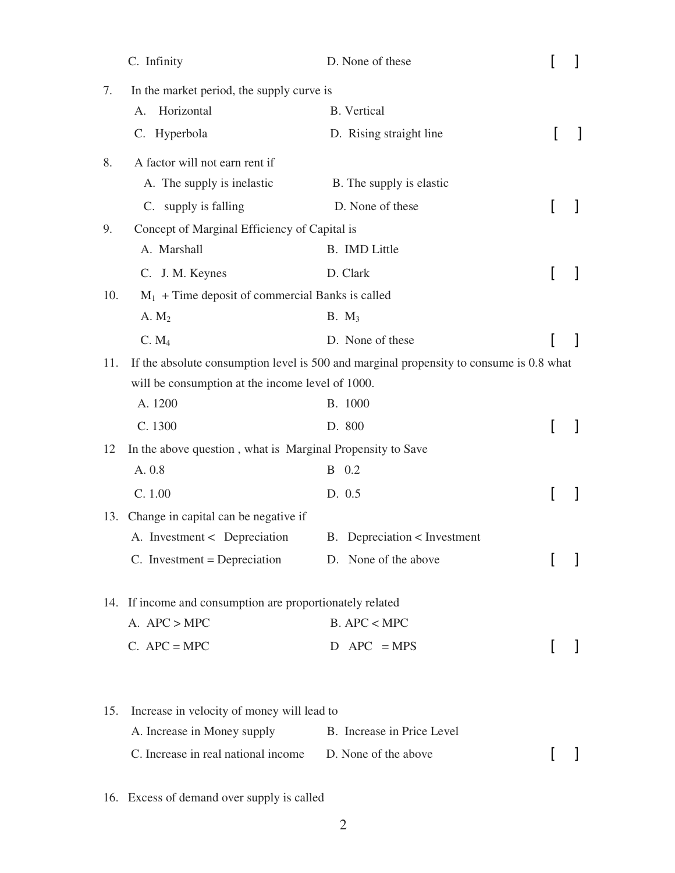|     | C. Infinity                                                | D. None of these                                                                        |  |
|-----|------------------------------------------------------------|-----------------------------------------------------------------------------------------|--|
| 7.  | In the market period, the supply curve is                  |                                                                                         |  |
|     | Horizontal<br>А.                                           | <b>B.</b> Vertical                                                                      |  |
|     | C. Hyperbola                                               | D. Rising straight line                                                                 |  |
| 8.  | A factor will not earn rent if                             |                                                                                         |  |
|     | A. The supply is inelastic                                 | B. The supply is elastic                                                                |  |
|     | C. supply is falling                                       | D. None of these                                                                        |  |
| 9.  | Concept of Marginal Efficiency of Capital is               |                                                                                         |  |
|     | A. Marshall                                                | B. IMD Little                                                                           |  |
|     | C. J. M. Keynes                                            | D. Clark                                                                                |  |
| 10. | $M_1$ + Time deposit of commercial Banks is called         |                                                                                         |  |
|     | A. $M2$                                                    | $B. M_3$                                                                                |  |
|     | C. M <sub>4</sub>                                          | D. None of these                                                                        |  |
| 11. |                                                            | If the absolute consumption level is 500 and marginal propensity to consume is 0.8 what |  |
|     | will be consumption at the income level of 1000.           |                                                                                         |  |
|     | A. 1200                                                    | <b>B.</b> 1000                                                                          |  |
|     | C. 1300                                                    | D. 800                                                                                  |  |
| 12  | In the above question, what is Marginal Propensity to Save |                                                                                         |  |
|     | A. 0.8                                                     | B 0.2                                                                                   |  |
|     | C. 1.00                                                    | D. 0.5                                                                                  |  |
| 13. | Change in capital can be negative if                       |                                                                                         |  |
|     | A. Investment < Depreciation                               | B. Depreciation < Investment                                                            |  |
|     | $C.$ Investment = Depreciation $D.$ None of the above      |                                                                                         |  |
|     | 14. If income and consumption are proportionately related  |                                                                                         |  |
|     | A. $APC > MPC$                                             | $B.$ APC < MPC                                                                          |  |
|     | $C.$ APC = MPC                                             | $D$ APC = MPS                                                                           |  |
|     |                                                            |                                                                                         |  |
| 15. | Increase in velocity of money will lead to                 |                                                                                         |  |
|     | A. Increase in Money supply                                | B. Increase in Price Level                                                              |  |
|     | C. Increase in real national income                        | D. None of the above                                                                    |  |

16. Excess of demand over supply is called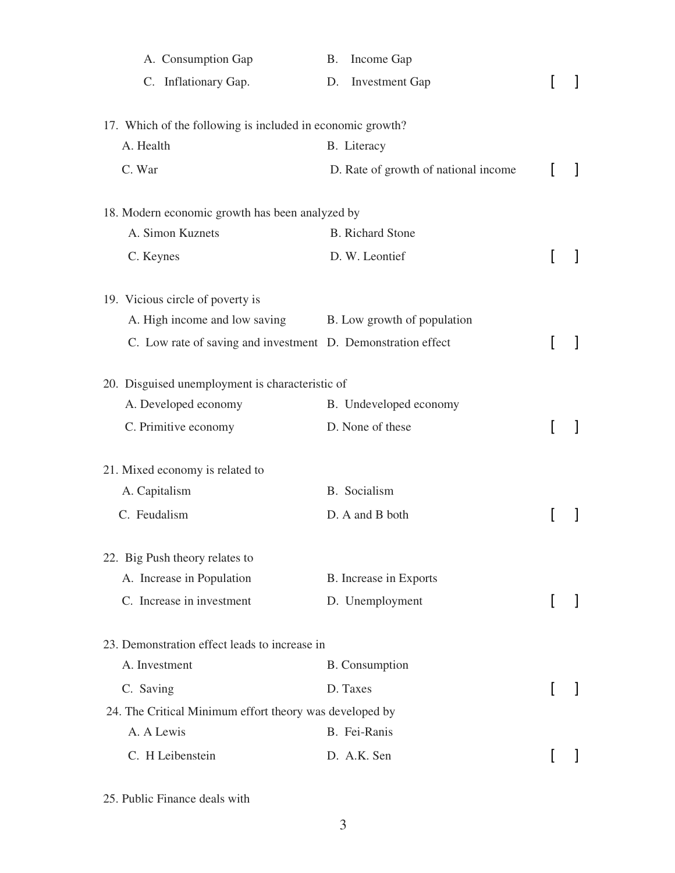| A. Consumption Gap                                           | Income Gap<br><b>B.</b>              |              |
|--------------------------------------------------------------|--------------------------------------|--------------|
| C. Inflationary Gap.                                         | <b>Investment Gap</b><br>D.          |              |
| 17. Which of the following is included in economic growth?   |                                      |              |
| A. Health                                                    | B. Literacy                          |              |
| C. War                                                       | D. Rate of growth of national income |              |
| 18. Modern economic growth has been analyzed by              |                                      |              |
| A. Simon Kuznets                                             | <b>B.</b> Richard Stone              |              |
| C. Keynes                                                    | D. W. Leontief                       |              |
| 19. Vicious circle of poverty is                             |                                      |              |
| A. High income and low saving B. Low growth of population    |                                      |              |
| C. Low rate of saving and investment D. Demonstration effect |                                      |              |
| 20. Disguised unemployment is characteristic of              |                                      |              |
| A. Developed economy                                         | B. Undeveloped economy               |              |
| C. Primitive economy                                         | D. None of these                     |              |
| 21. Mixed economy is related to                              |                                      |              |
| A. Capitalism                                                | B. Socialism                         |              |
| C. Feudalism                                                 | D. A and B both                      |              |
| 22. Big Push theory relates to                               |                                      |              |
| A. Increase in Population                                    | B. Increase in Exports               |              |
| C. Increase in investment                                    | D. Unemployment                      | $\mathbf{I}$ |
| 23. Demonstration effect leads to increase in                |                                      |              |
| A. Investment                                                | <b>B.</b> Consumption                |              |
| C. Saving                                                    | D. Taxes                             |              |
| 24. The Critical Minimum effort theory was developed by      |                                      |              |
| A. A Lewis                                                   | B. Fei-Ranis                         |              |
| C. H Leibenstein                                             | D. A.K. Sen                          |              |

25. Public Finance deals with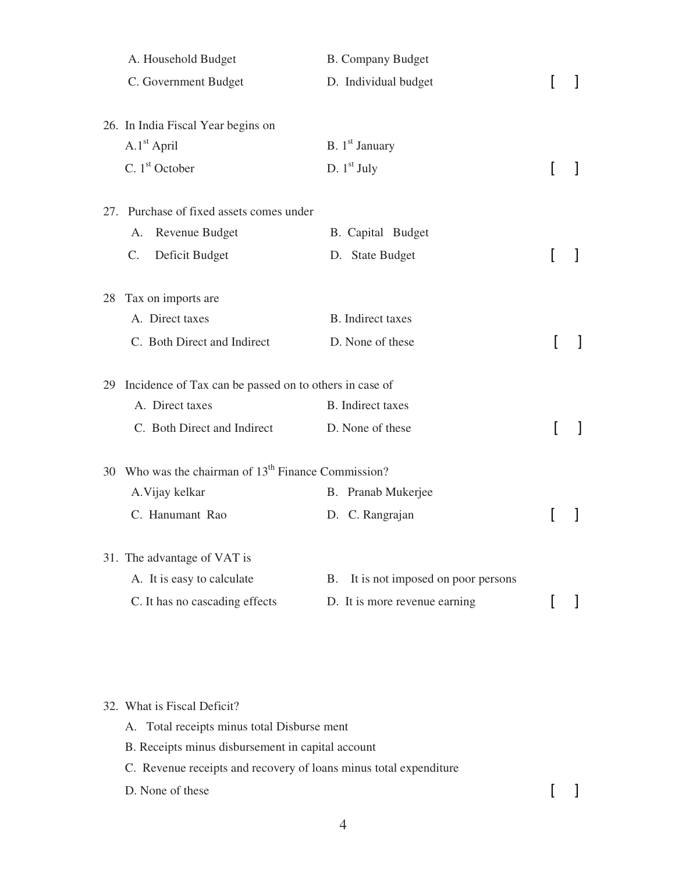|    | A. Household Budget                                       | <b>B.</b> Company Budget                |   |  |
|----|-----------------------------------------------------------|-----------------------------------------|---|--|
|    | C. Government Budget                                      | D. Individual budget                    |   |  |
|    |                                                           |                                         |   |  |
|    | 26. In India Fiscal Year begins on                        |                                         |   |  |
|    | $A.1st$ April                                             | B. $1st$ January                        |   |  |
|    | C. $1st$ October                                          | D. $1st$ July                           |   |  |
|    | 27. Purchase of fixed assets comes under                  |                                         |   |  |
|    | Revenue Budget<br>A.                                      | B. Capital Budget                       |   |  |
|    | Deficit Budget<br>$C_{\cdot}$                             | D. State Budget                         |   |  |
| 28 | Tax on imports are                                        |                                         |   |  |
|    | A. Direct taxes                                           | <b>B</b> . Indirect taxes               |   |  |
|    |                                                           |                                         |   |  |
|    | C. Both Direct and Indirect                               | D. None of these                        |   |  |
|    | 29 Incidence of Tax can be passed on to others in case of |                                         |   |  |
|    | A. Direct taxes                                           | <b>B.</b> Indirect taxes                |   |  |
|    | C. Both Direct and Indirect                               | D. None of these                        |   |  |
|    | 30 Who was the chairman of $13th$ Finance Commission?     |                                         |   |  |
|    | A. Vijay kelkar                                           | B. Pranab Mukerjee                      |   |  |
|    | C. Hanumant Rao                                           | D. C. Rangrajan                         | ſ |  |
|    |                                                           |                                         |   |  |
|    | 31. The advantage of VAT is                               |                                         |   |  |
|    | A. It is easy to calculate                                | It is not imposed on poor persons<br>В. |   |  |
|    | C. It has no cascading effects                            | D. It is more revenue earning           |   |  |

32. What is Fiscal Deficit?

A. Total receipts minus total Disburse ment

- B. Receipts minus disbursement in capital account
- C. Revenue receipts and recovery of loans minus total expenditure

D. None of these  $\begin{bmatrix} 1 \end{bmatrix}$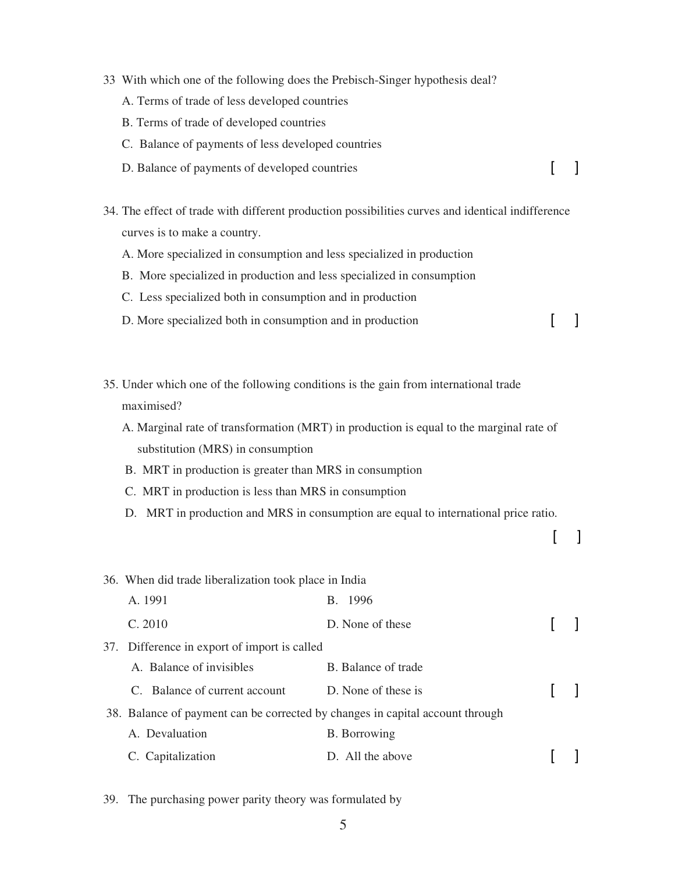- 33 With which one of the following does the Prebisch-Singer hypothesis deal?
	- A. Terms of trade of less developed countries
	- B. Terms of trade of developed countries
	- C. Balance of payments of less developed countries
	- D. Balance of payments of developed countries [ ]
- 34. The effect of trade with different production possibilities curves and identical indifference curves is to make a country.
	- A. More specialized in consumption and less specialized in production
	- B. More specialized in production and less specialized in consumption
	- C. Less specialized both in consumption and in production
	- D. More specialized both in consumption and in production [ ]
- 35. Under which one of the following conditions is the gain from international trade maximised?
	- A. Marginal rate of transformation (MRT) in production is equal to the marginal rate of substitution (MRS) in consumption
	- B. MRT in production is greater than MRS in consumption
	- C. MRT in production is less than MRS in consumption
	- D. MRT in production and MRS in consumption are equal to international price ratio.

 $[$  ]

| 36. When did trade liberalization took place in India |                                              |                                                                               |  |
|-------------------------------------------------------|----------------------------------------------|-------------------------------------------------------------------------------|--|
|                                                       | A. 1991                                      | B. 1996                                                                       |  |
|                                                       | C. 2010                                      | D. None of these                                                              |  |
|                                                       | 37. Difference in export of import is called |                                                                               |  |
|                                                       | A. Balance of invisibles                     | B. Balance of trade                                                           |  |
|                                                       | C. Balance of current account                | D. None of these is                                                           |  |
|                                                       |                                              | 38. Balance of payment can be corrected by changes in capital account through |  |
|                                                       | A. Devaluation                               | <b>B.</b> Borrowing                                                           |  |
|                                                       | C. Capitalization                            | D. All the above                                                              |  |

39. The purchasing power parity theory was formulated by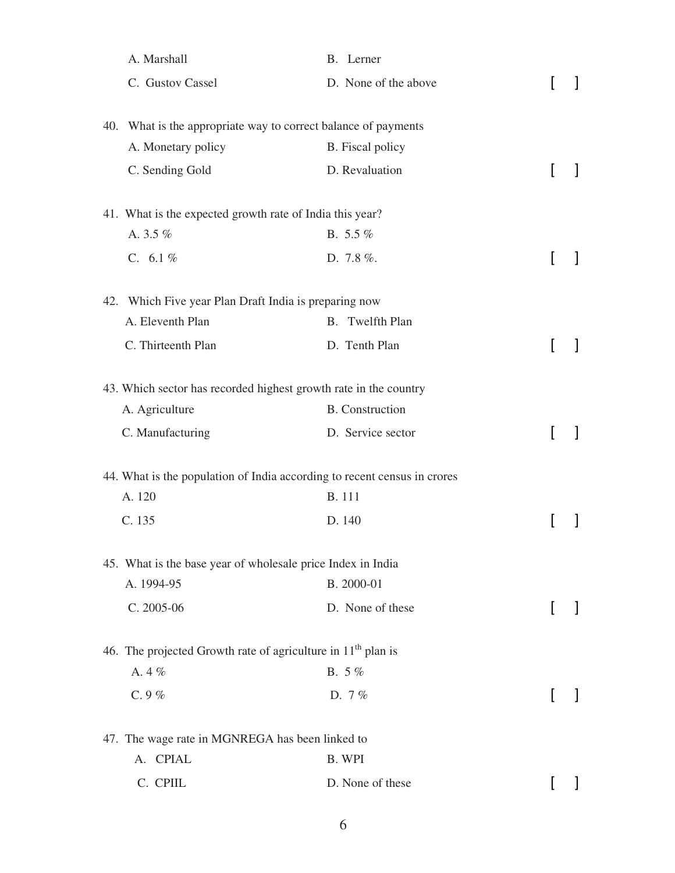| A. Marshall                                                              | B. Lerner                 |  |
|--------------------------------------------------------------------------|---------------------------|--|
| C. Gustov Cassel                                                         | D. None of the above      |  |
| 40. What is the appropriate way to correct balance of payments           |                           |  |
| A. Monetary policy                                                       | <b>B.</b> Fiscal policy   |  |
| C. Sending Gold                                                          | D. Revaluation            |  |
| 41. What is the expected growth rate of India this year?                 |                           |  |
| A. 3.5 %                                                                 | B. $5.5\%$                |  |
| C. $6.1\%$                                                               | D. 7.8%.                  |  |
| 42. Which Five year Plan Draft India is preparing now                    |                           |  |
| A. Eleventh Plan                                                         | Twelfth Plan<br><b>B.</b> |  |
| C. Thirteenth Plan                                                       | D. Tenth Plan             |  |
| 43. Which sector has recorded highest growth rate in the country         |                           |  |
| A. Agriculture                                                           | <b>B.</b> Construction    |  |
| C. Manufacturing                                                         | D. Service sector         |  |
| 44. What is the population of India according to recent census in crores |                           |  |
| A. 120                                                                   | <b>B.</b> 111             |  |
| C. 135                                                                   | D. 140                    |  |
| 45. What is the base year of wholesale price Index in India              |                           |  |
| A. 1994-95                                                               | B. 2000-01                |  |
| C. 2005-06                                                               | D. None of these          |  |
| 46. The projected Growth rate of agriculture in $11th$ plan is           |                           |  |
| A. 4%                                                                    | B. 5%                     |  |
| C. $9%$                                                                  | D. $7%$                   |  |
| 47. The wage rate in MGNREGA has been linked to                          |                           |  |
| A. CPIAL                                                                 | B. WPI                    |  |
| C. CPIIL                                                                 | D. None of these          |  |